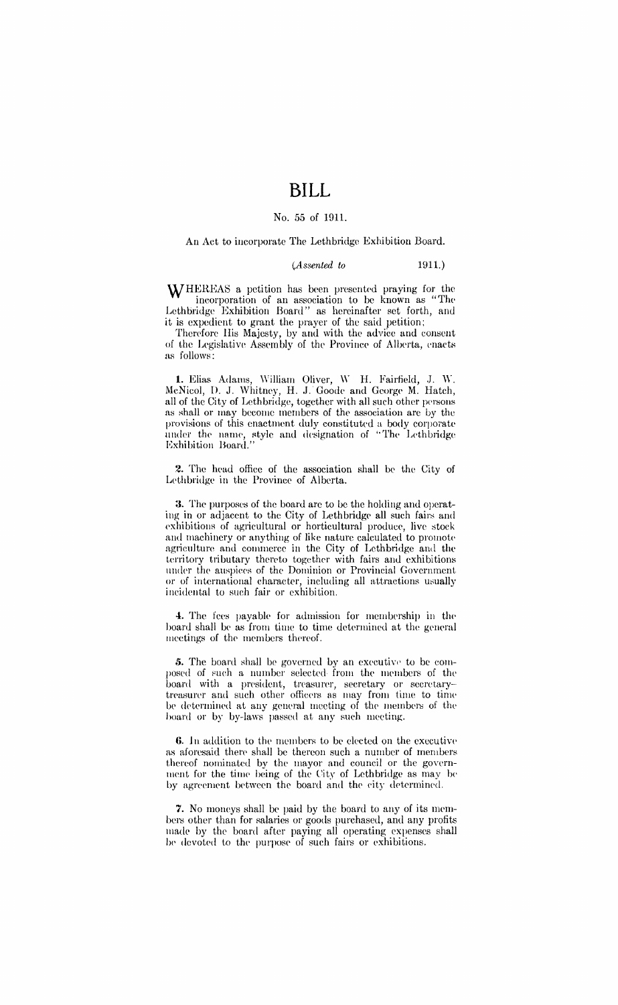# **BILL**

#### No. 55 of 1911.

#### An Act to incorporate The Lethbridge Exhibition Board.

#### *(Assented to* 1911.)

WHEREAS a petition has been presented praying for the incorporation of an association to be known as "The Lethbridge Exhibition Board" as hereinafter set forth, and it is expedient to grant the prayer of the said petition;

Therefore His Majesty, by and with the advice and consent of the Legislative Assembly of the Province of Alberta, enacts as follows:

**1.** Elias Adams, William Oliver, W H. Fairfield, J. W. McNicol, D. J. Whitney, H. J. Goode and George M. Hatch, all of the City of Lethbridge, together with all such other persons as shall or may become members of the association are by the provisions of this enactment duly constituted a body corporate under the name, style and designation of "The Lethbridge Exhibition Board."

2. The head office of the association shall be the City of Lethbridge in the Province of Alberta.

3. The purposes of the board are to be the holding and operating in or adjacent to the City of Lethbridge all such fairs and exhibitions of agricultural or horticultural produce, live stock and machinery or anything of like nature calculated to promote agriculture and commerce in the City of Lethbridge and the territory tributary thereto together with fairs and exhibitions under the auspices of the Dominion or Provincial Government or of international character, including all attractions usually incidental to such fair or exhibition.

4. The fees payable for admission for membership in the board shall be as from time to time determined at the general meetings of the members thereof.

5. The board shall be governed by an executive to be composed of such a number selected from the members of the board with a president, treasurer, secretary or secretarytreasurer and such other officers as may from time to time be determined at any general meeting of the members of the hoard or by by-laws passed at any such meeting.

6. In addition to the members to be elected on the executive as aforesaid there shall be thereon such a number of members thereof nominated by the mayor and council or the government for the time being of the City of Lethbridge as may be by agreement between the board and the city determined.

7. No moneys shall be paid by the board to any of its members other than for salaries or goods purchased, and any profits made by the board after paying all operating expenses shall be devoted to the purpose of such fairs or exhibitions.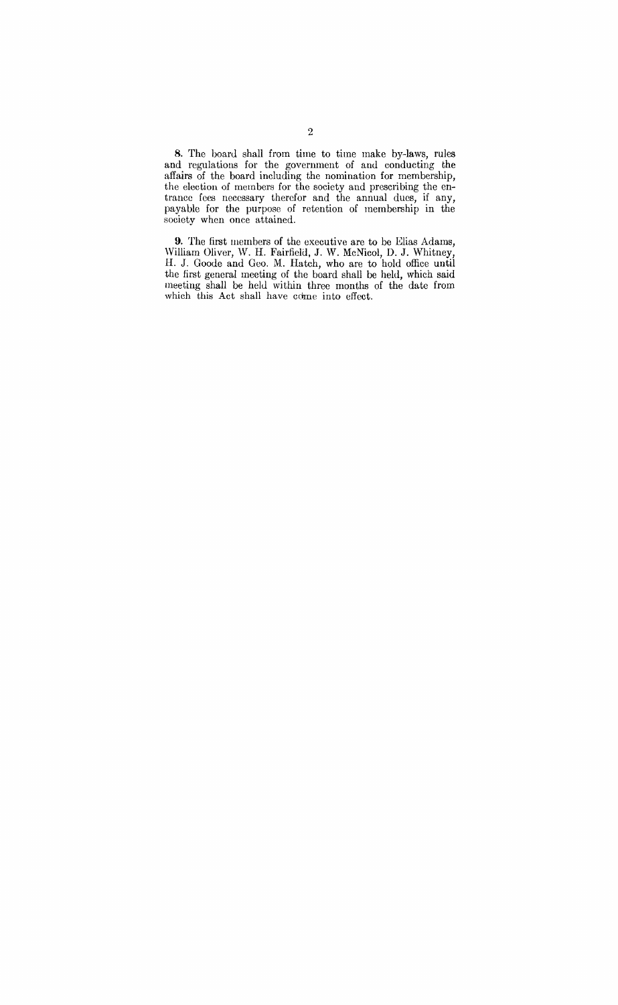8. The board shall from time to time make by-laws, rules and regulations for the government of and conducting the affairs of the board including the nomination for membership, the election of members for the society and prescribing the entrance fees necessary therefor and the annual dues, if any, payable for the purpose of retention of membership in the society when once attained.

9. The first members of the executive are to be Elias Adams, William Oliver, W. H. Fairfield, J. W. McNicol, D. J. Whitney, H. J. Goode and Geo. M. Hatch, who are to hold office until the first general meeting of the board shall be held, which said meeting shall be held within three months of the date from which this Act shall have come into effect.